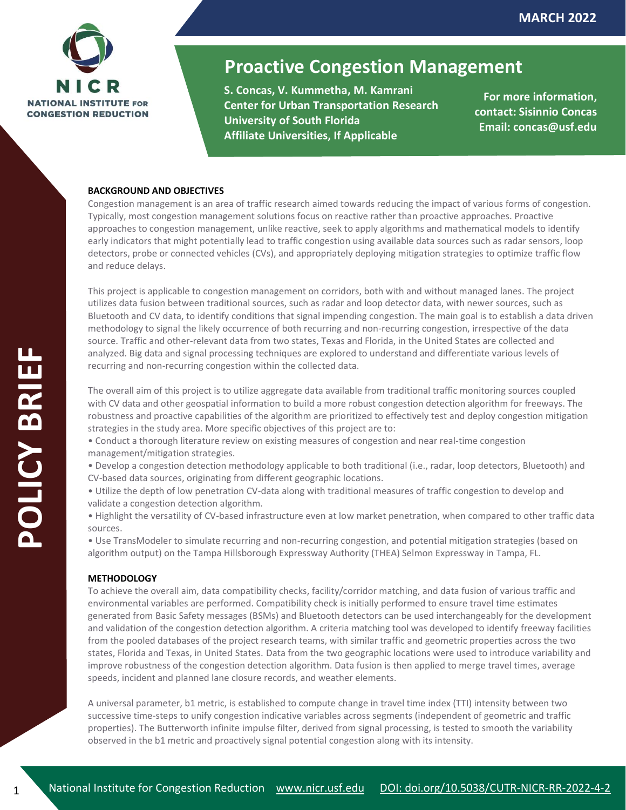

# **Proactive Congestion Management**

**S. Concas, V. Kummetha, M. Kamrani Center for Urban Transportation Research University of South Florida Affiliate Universities, If Applicable**

**For more information, contact: Sisinnio Concas Email: concas@usf.edu**

## **BACKGROUND AND OBJECTIVES**

Congestion management is an area of traffic research aimed towards reducing the impact of various forms of congestion. Typically, most congestion management solutions focus on reactive rather than proactive approaches. Proactive approaches to congestion management, unlike reactive, seek to apply algorithms and mathematical models to identify early indicators that might potentially lead to traffic congestion using available data sources such as radar sensors, loop detectors, probe or connected vehicles (CVs), and appropriately deploying mitigation strategies to optimize traffic flow and reduce delays.

This project is applicable to congestion management on corridors, both with and without managed lanes. The project utilizes data fusion between traditional sources, such as radar and loop detector data, with newer sources, such as Bluetooth and CV data, to identify conditions that signal impending congestion. The main goal is to establish a data driven methodology to signal the likely occurrence of both recurring and non-recurring congestion, irrespective of the data source. Traffic and other-relevant data from two states, Texas and Florida, in the United States are collected and analyzed. Big data and signal processing techniques are explored to understand and differentiate various levels of recurring and non-recurring congestion within the collected data.

The overall aim of this project is to utilize aggregate data available from traditional traffic monitoring sources coupled with CV data and other geospatial information to build a more robust congestion detection algorithm for freeways. The robustness and proactive capabilities of the algorithm are prioritized to effectively test and deploy congestion mitigation strategies in the study area. More specific objectives of this project are to:

- Conduct a thorough literature review on existing measures of congestion and near real-time congestion management/mitigation strategies.
- Develop a congestion detection methodology applicable to both traditional (i.e., radar, loop detectors, Bluetooth) and CV-based data sources, originating from different geographic locations.
- Utilize the depth of low penetration CV-data along with traditional measures of traffic congestion to develop and validate a congestion detection algorithm.
- Highlight the versatility of CV-based infrastructure even at low market penetration, when compared to other traffic data sources.

• Use TransModeler to simulate recurring and non-recurring congestion, and potential mitigation strategies (based on algorithm output) on the Tampa Hillsborough Expressway Authority (THEA) Selmon Expressway in Tampa, FL.

#### **METHODOLOGY**

To achieve the overall aim, data compatibility checks, facility/corridor matching, and data fusion of various traffic and environmental variables are performed. Compatibility check is initially performed to ensure travel time estimates generated from Basic Safety messages (BSMs) and Bluetooth detectors can be used interchangeably for the development and validation of the congestion detection algorithm. A criteria matching tool was developed to identify freeway facilities from the pooled databases of the project research teams, with similar traffic and geometric properties across the two states, Florida and Texas, in United States. Data from the two geographic locations were used to introduce variability and improve robustness of the congestion detection algorithm. Data fusion is then applied to merge travel times, average speeds, incident and planned lane closure records, and weather elements.

A universal parameter, b1 metric, is established to compute change in travel time index (TTI) intensity between two successive time-steps to unify congestion indicative variables across segments (independent of geometric and traffic properties). The Butterworth infinite impulse filter, derived from signal processing, is tested to smooth the variability observed in the b1 metric and proactively signal potential congestion along with its intensity.